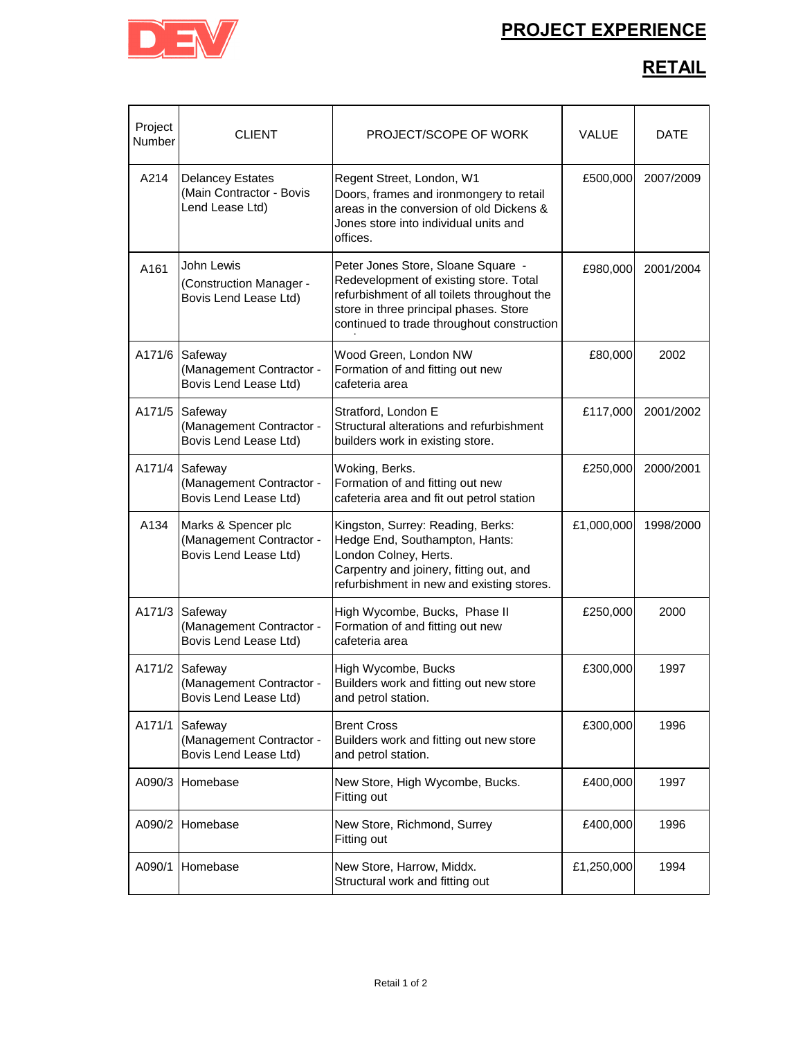## **PROJECT EXPERIENCE**



## **RETAIL**

| Project<br>Number | CLIENT                                                                   | PROJECT/SCOPE OF WORK                                                                                                                                                                                               | VALUE      | <b>DATE</b> |
|-------------------|--------------------------------------------------------------------------|---------------------------------------------------------------------------------------------------------------------------------------------------------------------------------------------------------------------|------------|-------------|
| A214              | <b>Delancey Estates</b><br>(Main Contractor - Bovis<br>Lend Lease Ltd)   | Regent Street, London, W1<br>Doors, frames and ironmongery to retail<br>areas in the conversion of old Dickens &<br>Jones store into individual units and<br>offices.                                               | £500,000   | 2007/2009   |
| A161              | John Lewis<br>(Construction Manager -<br>Bovis Lend Lease Ltd)           | Peter Jones Store, Sloane Square -<br>Redevelopment of existing store. Total<br>refurbishment of all toilets throughout the<br>store in three principal phases. Store<br>continued to trade throughout construction | £980,000   | 2001/2004   |
| A171/6            | Safeway<br>(Management Contractor -<br>Bovis Lend Lease Ltd)             | Wood Green, London NW<br>Formation of and fitting out new<br>cafeteria area                                                                                                                                         | £80,000    | 2002        |
| A171/5            | Safeway<br>(Management Contractor -<br>Bovis Lend Lease Ltd)             | Stratford, London E<br>Structural alterations and refurbishment<br>builders work in existing store.                                                                                                                 | £117,000   | 2001/2002   |
| A171/4            | Safeway<br>(Management Contractor -<br>Bovis Lend Lease Ltd)             | Woking, Berks.<br>Formation of and fitting out new<br>cafeteria area and fit out petrol station                                                                                                                     | £250,000   | 2000/2001   |
| A134              | Marks & Spencer plc<br>(Management Contractor -<br>Bovis Lend Lease Ltd) | Kingston, Surrey: Reading, Berks:<br>Hedge End, Southampton, Hants:<br>London Colney, Herts.<br>Carpentry and joinery, fitting out, and<br>refurbishment in new and existing stores.                                | £1,000,000 | 1998/2000   |
| A171/3            | Safeway<br>(Management Contractor -<br>Bovis Lend Lease Ltd)             | High Wycombe, Bucks, Phase II<br>Formation of and fitting out new<br>cafeteria area                                                                                                                                 | £250,000   | 2000        |
| A171/2            | Safeway<br>(Management Contractor -<br>Bovis Lend Lease Ltd)             | High Wycombe, Bucks<br>Builders work and fitting out new store<br>and petrol station.                                                                                                                               | £300,000   | 1997        |
| A171/1            | Safeway<br>(Management Contractor -<br>Bovis Lend Lease Ltd)             | <b>Brent Cross</b><br>Builders work and fitting out new store<br>and petrol station.                                                                                                                                | £300,000   | 1996        |
| A090/3            | Homebase                                                                 | New Store, High Wycombe, Bucks.<br>Fitting out                                                                                                                                                                      | £400,000   | 1997        |
| A090/2            | Homebase                                                                 | New Store, Richmond, Surrey<br>Fitting out                                                                                                                                                                          | £400,000   | 1996        |
| A090/1            | Homebase                                                                 | New Store, Harrow, Middx.<br>Structural work and fitting out                                                                                                                                                        | £1,250,000 | 1994        |